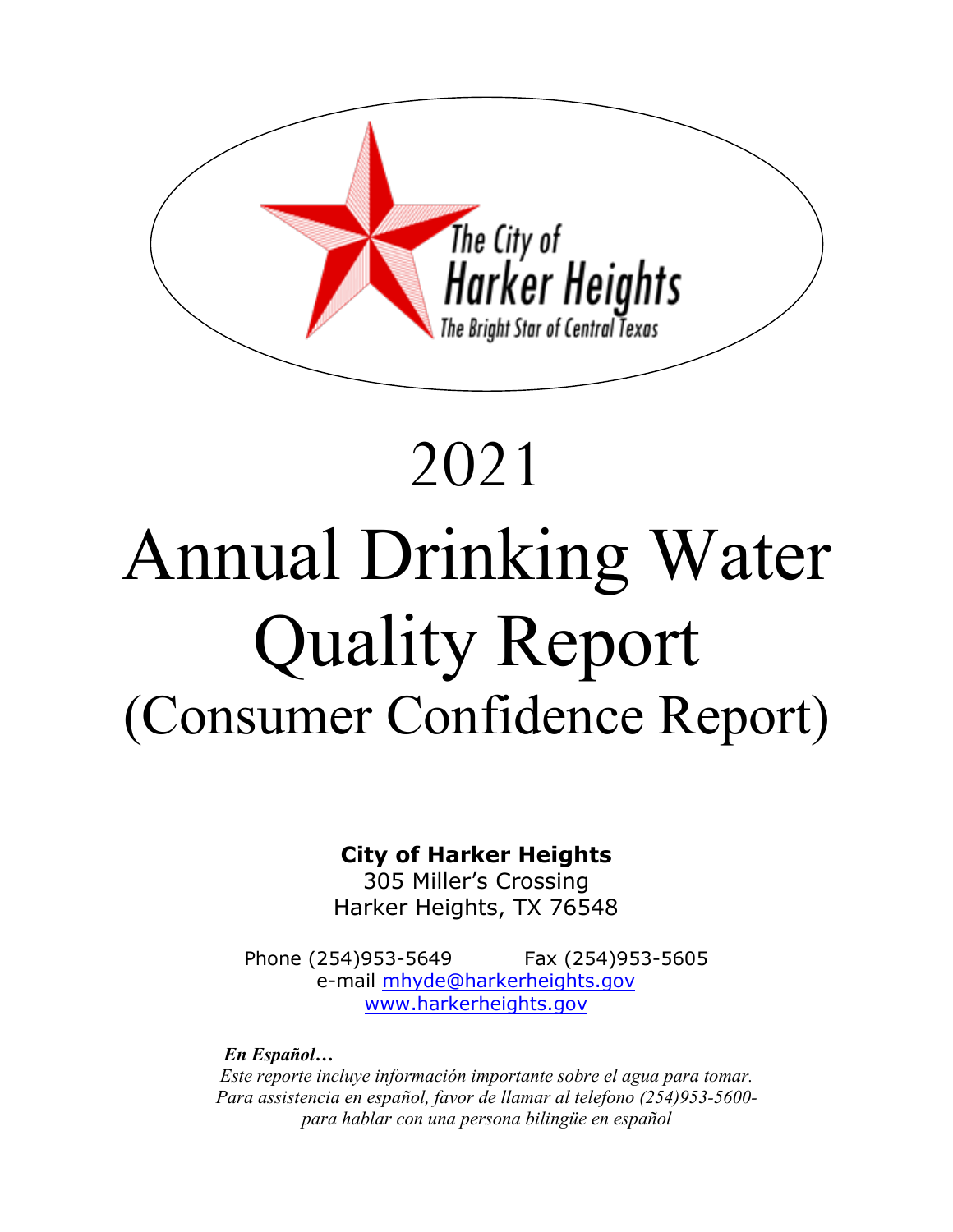

# 2021 Annual Drinking Water Quality Report (Consumer Confidence Report)

# **City of Harker Heights**

305 Miller's Crossing Harker Heights, TX 76548

Phone (254) 953-5649 Fax (254) 953-5605 e-mail **mhyde@harkerheights.gov** [www.harkerheights.gov](http://www.harkerheights.gov/)

 *En Español… Este reporte incluye información importante sobre el agua para tomar. Para assistencia en español, favor de llamar al telefono (254)953-5600 para hablar con una persona bilingüe en español*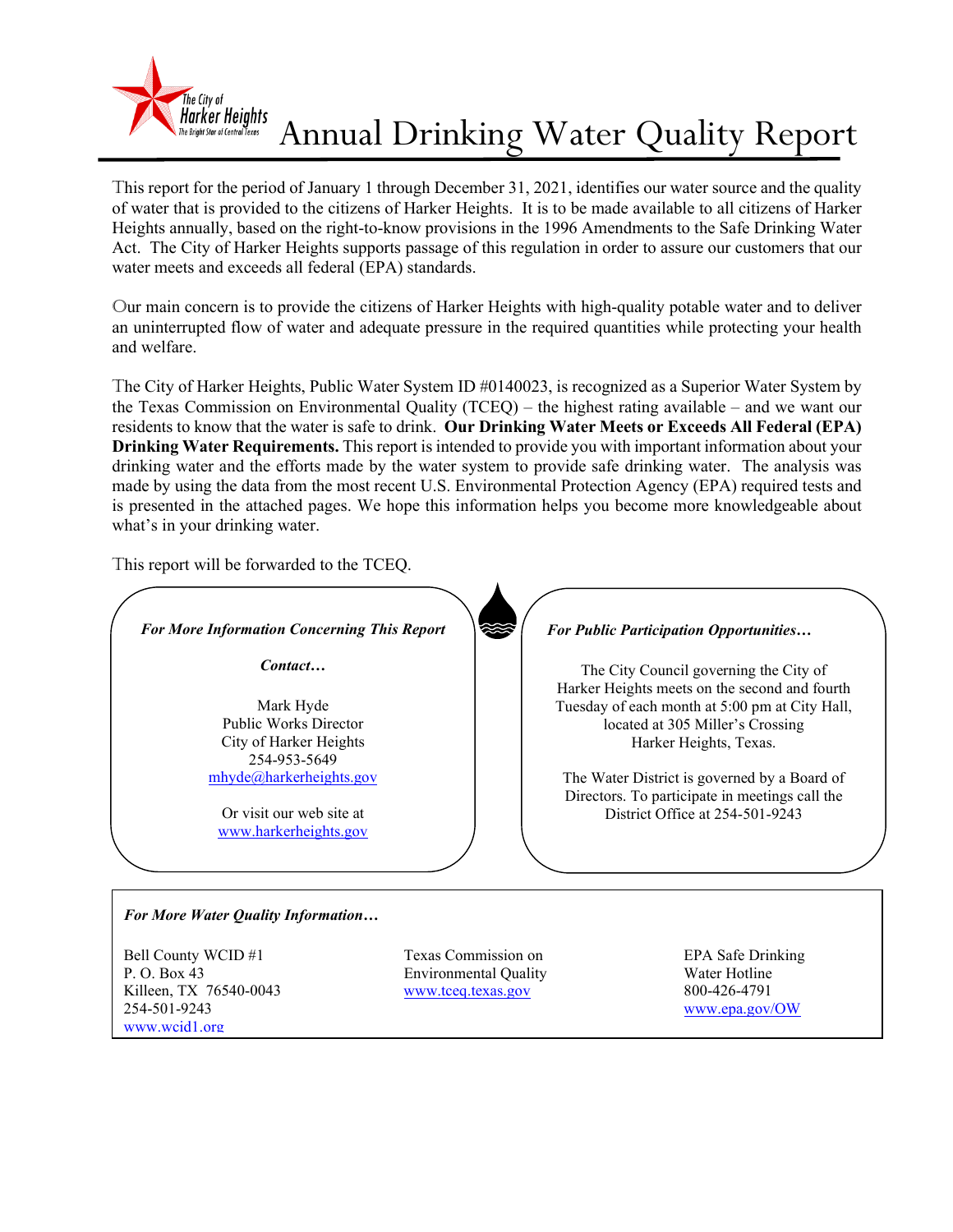

# Annual Drinking Water Quality Report

This report for the period of January 1 through December 31, 2021, identifies our water source and the quality of water that is provided to the citizens of Harker Heights. It is to be made available to all citizens of Harker Heights annually, based on the right-to-know provisions in the 1996 Amendments to the Safe Drinking Water Act. The City of Harker Heights supports passage of this regulation in order to assure our customers that our water meets and exceeds all federal (EPA) standards.

Our main concern is to provide the citizens of Harker Heights with high-quality potable water and to deliver an uninterrupted flow of water and adequate pressure in the required quantities while protecting your health and welfare.

The City of Harker Heights, Public Water System ID #0140023, is recognized as a Superior Water System by the Texas Commission on Environmental Quality (TCEQ) – the highest rating available – and we want our residents to know that the water is safe to drink. **Our Drinking Water Meets or Exceeds All Federal (EPA) Drinking Water Requirements.** This report is intended to provide you with important information about your drinking water and the efforts made by the water system to provide safe drinking water. The analysis was made by using the data from the most recent U.S. Environmental Protection Agency (EPA) required tests and is presented in the attached pages. We hope this information helps you become more knowledgeable about what's in your drinking water.

This report will be forwarded to the TCEQ.

[www.wcid1.org](http://www.wcid1.org/)



254-501-9243 [www.epa.gov/OW](http://www.epa.gov/OW)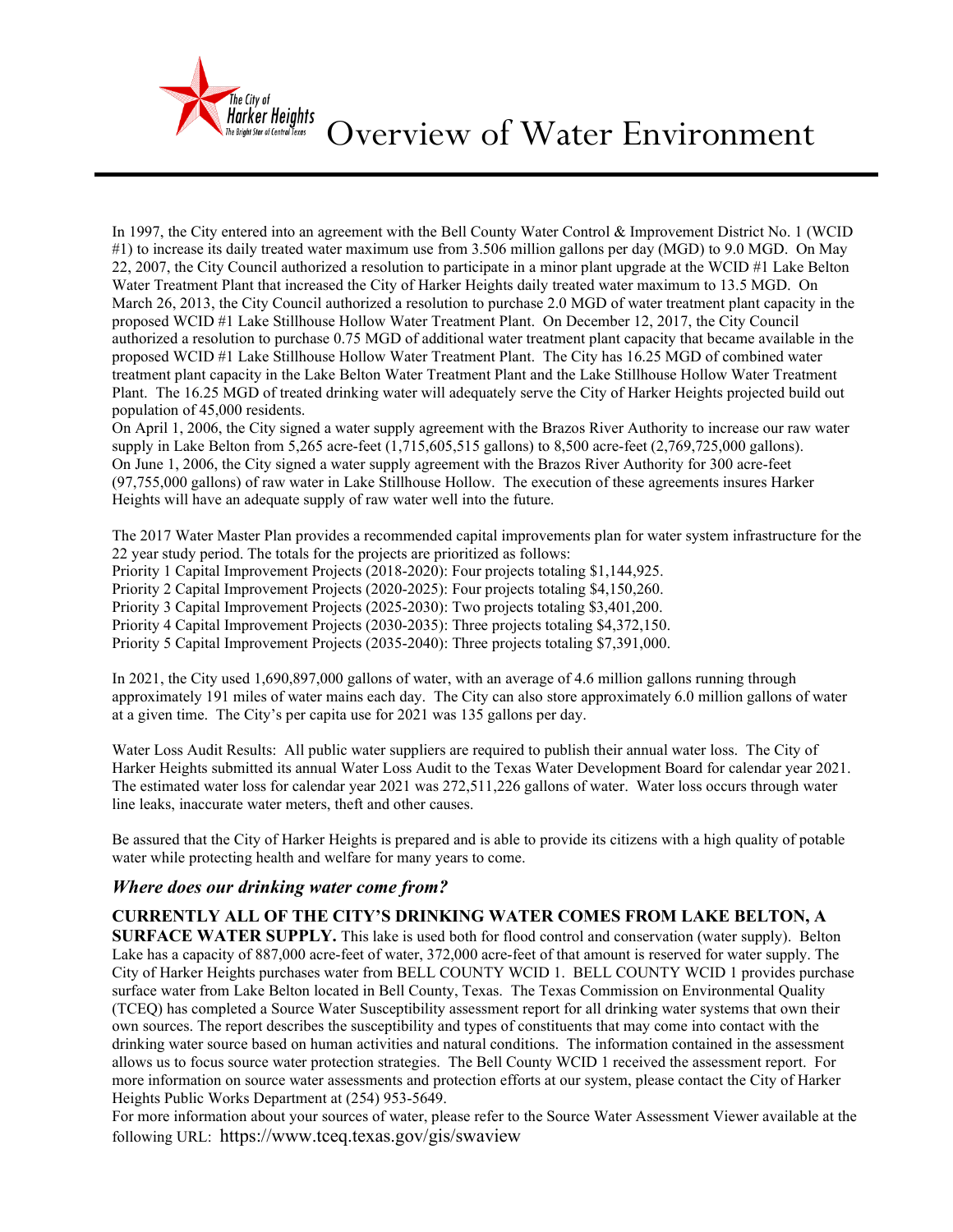

Overview of Water Environment

In 1997, the City entered into an agreement with the Bell County Water Control & Improvement District No. 1 (WCID #1) to increase its daily treated water maximum use from 3.506 million gallons per day (MGD) to 9.0 MGD. On May 22, 2007, the City Council authorized a resolution to participate in a minor plant upgrade at the WCID #1 Lake Belton Water Treatment Plant that increased the City of Harker Heights daily treated water maximum to 13.5 MGD. On March 26, 2013, the City Council authorized a resolution to purchase 2.0 MGD of water treatment plant capacity in the proposed WCID #1 Lake Stillhouse Hollow Water Treatment Plant. On December 12, 2017, the City Council authorized a resolution to purchase 0.75 MGD of additional water treatment plant capacity that became available in the proposed WCID #1 Lake Stillhouse Hollow Water Treatment Plant. The City has 16.25 MGD of combined water treatment plant capacity in the Lake Belton Water Treatment Plant and the Lake Stillhouse Hollow Water Treatment Plant. The 16.25 MGD of treated drinking water will adequately serve the City of Harker Heights projected build out population of 45,000 residents.

On April 1, 2006, the City signed a water supply agreement with the Brazos River Authority to increase our raw water supply in Lake Belton from 5,265 acre-feet (1,715,605,515 gallons) to 8,500 acre-feet (2,769,725,000 gallons). On June 1, 2006, the City signed a water supply agreement with the Brazos River Authority for 300 acre-feet (97,755,000 gallons) of raw water in Lake Stillhouse Hollow. The execution of these agreements insures Harker Heights will have an adequate supply of raw water well into the future.

The 2017 Water Master Plan provides a recommended capital improvements plan for water system infrastructure for the 22 year study period. The totals for the projects are prioritized as follows:

Priority 1 Capital Improvement Projects (2018-2020): Four projects totaling \$1,144,925.

Priority 2 Capital Improvement Projects (2020-2025): Four projects totaling \$4,150,260.

Priority 3 Capital Improvement Projects (2025-2030): Two projects totaling \$3,401,200.

Priority 4 Capital Improvement Projects (2030-2035): Three projects totaling \$4,372,150.

Priority 5 Capital Improvement Projects (2035-2040): Three projects totaling \$7,391,000.

In 2021, the City used 1,690,897,000 gallons of water, with an average of 4.6 million gallons running through approximately 191 miles of water mains each day. The City can also store approximately 6.0 million gallons of water at a given time. The City's per capita use for 2021 was 135 gallons per day.

Water Loss Audit Results: All public water suppliers are required to publish their annual water loss. The City of Harker Heights submitted its annual Water Loss Audit to the Texas Water Development Board for calendar year 2021. The estimated water loss for calendar year 2021 was 272,511,226 gallons of water. Water loss occurs through water line leaks, inaccurate water meters, theft and other causes.

Be assured that the City of Harker Heights is prepared and is able to provide its citizens with a high quality of potable water while protecting health and welfare for many years to come.

#### *Where does our drinking water come from?*

#### **CURRENTLY ALL OF THE CITY'S DRINKING WATER COMES FROM LAKE BELTON, A**

**SURFACE WATER SUPPLY.** This lake is used both for flood control and conservation (water supply). Belton Lake has a capacity of 887,000 acre-feet of water, 372,000 acre-feet of that amount is reserved for water supply. The City of Harker Heights purchases water from BELL COUNTY WCID 1. BELL COUNTY WCID 1 provides purchase surface water from Lake Belton located in Bell County, Texas. The Texas Commission on Environmental Quality (TCEQ) has completed a Source Water Susceptibility assessment report for all drinking water systems that own their own sources. The report describes the susceptibility and types of constituents that may come into contact with the drinking water source based on human activities and natural conditions. The information contained in the assessment allows us to focus source water protection strategies. The Bell County WCID 1 received the assessment report. For more information on source water assessments and protection efforts at our system, please contact the City of Harker Heights Public Works Department at (254) 953-5649.

For more information about your sources of water, please refer to the Source Water Assessment Viewer available at the following URL: https://www.tceq.texas.gov/gis/swaview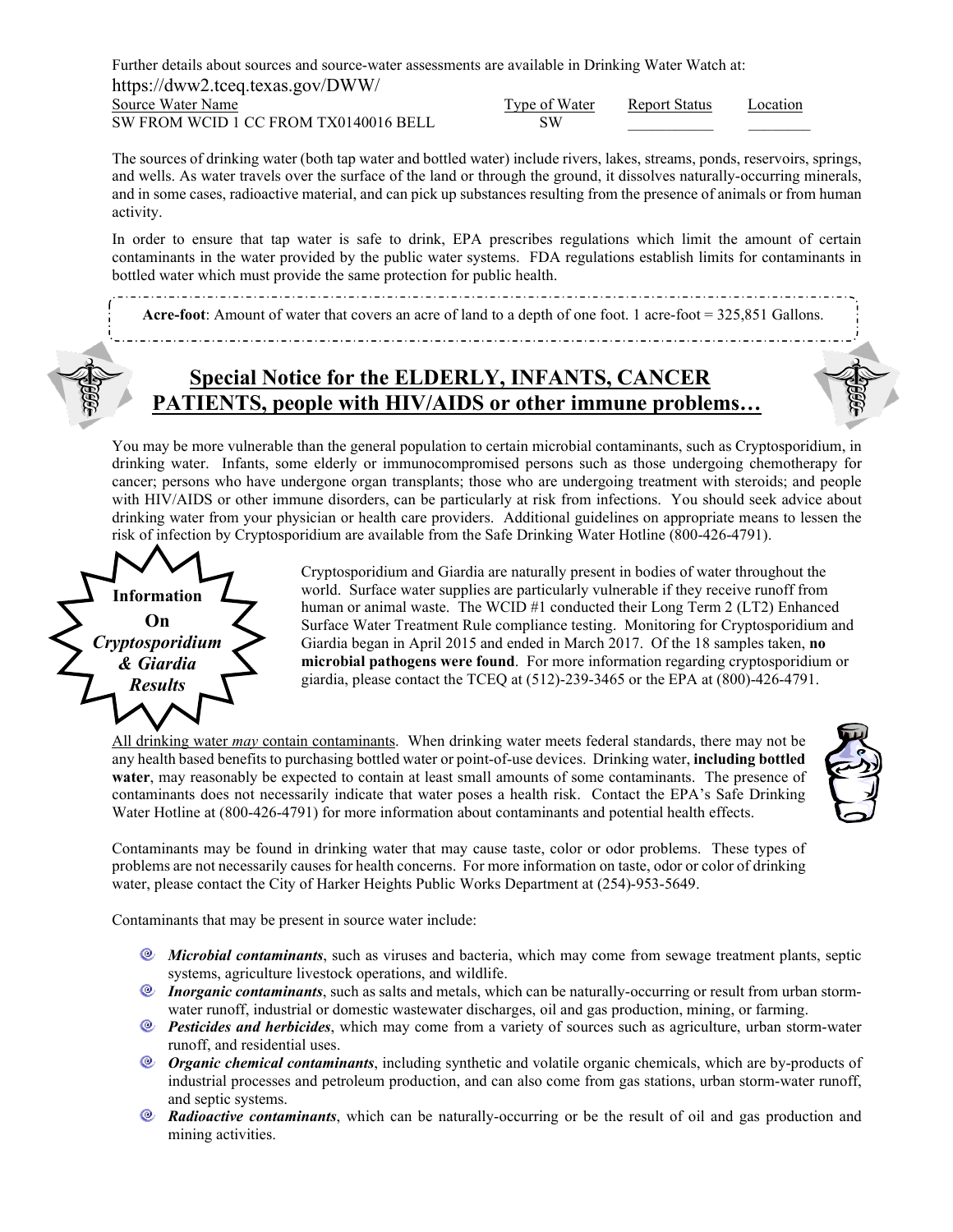Further details about sources and source-water assessments are available in Drinking Water Watch at: https://dww2.tceq.texas.gov/DWW/ Source Water Name Type of Water Report Status Location

 $\overline{\text{SW FROM WCID 1}}$  CC FROM TX0140016 BELL

| Type of Water | <b>Report Status</b> | Locatio |
|---------------|----------------------|---------|
| SW            |                      |         |

The sources of drinking water (both tap water and bottled water) include rivers, lakes, streams, ponds, reservoirs, springs, and wells. As water travels over the surface of the land or through the ground, it dissolves naturally-occurring minerals, and in some cases, radioactive material, and can pick up substances resulting from the presence of animals or from human activity.

In order to ensure that tap water is safe to drink, EPA prescribes regulations which limit the amount of certain contaminants in the water provided by the public water systems. FDA regulations establish limits for contaminants in bottled water which must provide the same protection for public health.

**Acre-foot**: Amount of water that covers an acre of land to a depth of one foot. 1 acre-foot = 325,851 Gallons.

## **Special Notice for the ELDERLY, INFANTS, CANCER PATIENTS, people with HIV/AIDS or other immune problems…**

You may be more vulnerable than the general population to certain microbial contaminants, such as Cryptosporidium, in drinking water. Infants, some elderly or immunocompromised persons such as those undergoing chemotherapy for cancer; persons who have undergone organ transplants; those who are undergoing treatment with steroids; and people with HIV/AIDS or other immune disorders, can be particularly at risk from infections. You should seek advice about drinking water from your physician or health care providers. Additional guidelines on appropriate means to lessen the risk of infection by Cryptosporidium are available from the Safe Drinking Water Hotline (800-426-4791).



Cryptosporidium and Giardia are naturally present in bodies of water throughout the world. Surface water supplies are particularly vulnerable if they receive runoff from human or animal waste. The WCID #1 conducted their Long Term 2 (LT2) Enhanced Surface Water Treatment Rule compliance testing. Monitoring for Cryptosporidium and Giardia began in April 2015 and ended in March 2017. Of the 18 samples taken, **no microbial pathogens were found**. For more information regarding cryptosporidium or giardia, please contact the TCEQ at (512)-239-3465 or the EPA at (800)-426-4791.

All drinking water *may* contain contaminants. When drinking water meets federal standards, there may not be any health based benefits to purchasing bottled water or point-of-use devices. Drinking water, **including bottled water**, may reasonably be expected to contain at least small amounts of some contaminants. The presence of contaminants does not necessarily indicate that water poses a health risk. Contact the EPA's Safe Drinking Water Hotline at (800-426-4791) for more information about contaminants and potential health effects.



Contaminants may be found in drinking water that may cause taste, color or odor problems. These types of problems are not necessarily causes for health concerns. For more information on taste, odor or color of drinking water, please contact the City of Harker Heights Public Works Department at (254)-953-5649.

Contaminants that may be present in source water include:

- *Microbial contaminants*, such as viruses and bacteria, which may come from sewage treatment plants, septic systems, agriculture livestock operations, and wildlife.
- *Inorganic contaminants*, such as salts and metals, which can be naturally-occurring or result from urban stormwater runoff, industrial or domestic wastewater discharges, oil and gas production, mining, or farming.
- *Pesticides and herbicides*, which may come from a variety of sources such as agriculture, urban storm-water runoff, and residential uses.
- *Organic chemical contaminants*, including synthetic and volatile organic chemicals, which are by-products of industrial processes and petroleum production, and can also come from gas stations, urban storm-water runoff, and septic systems.
- *Radioactive contaminants*, which can be naturally-occurring or be the result of oil and gas production and mining activities.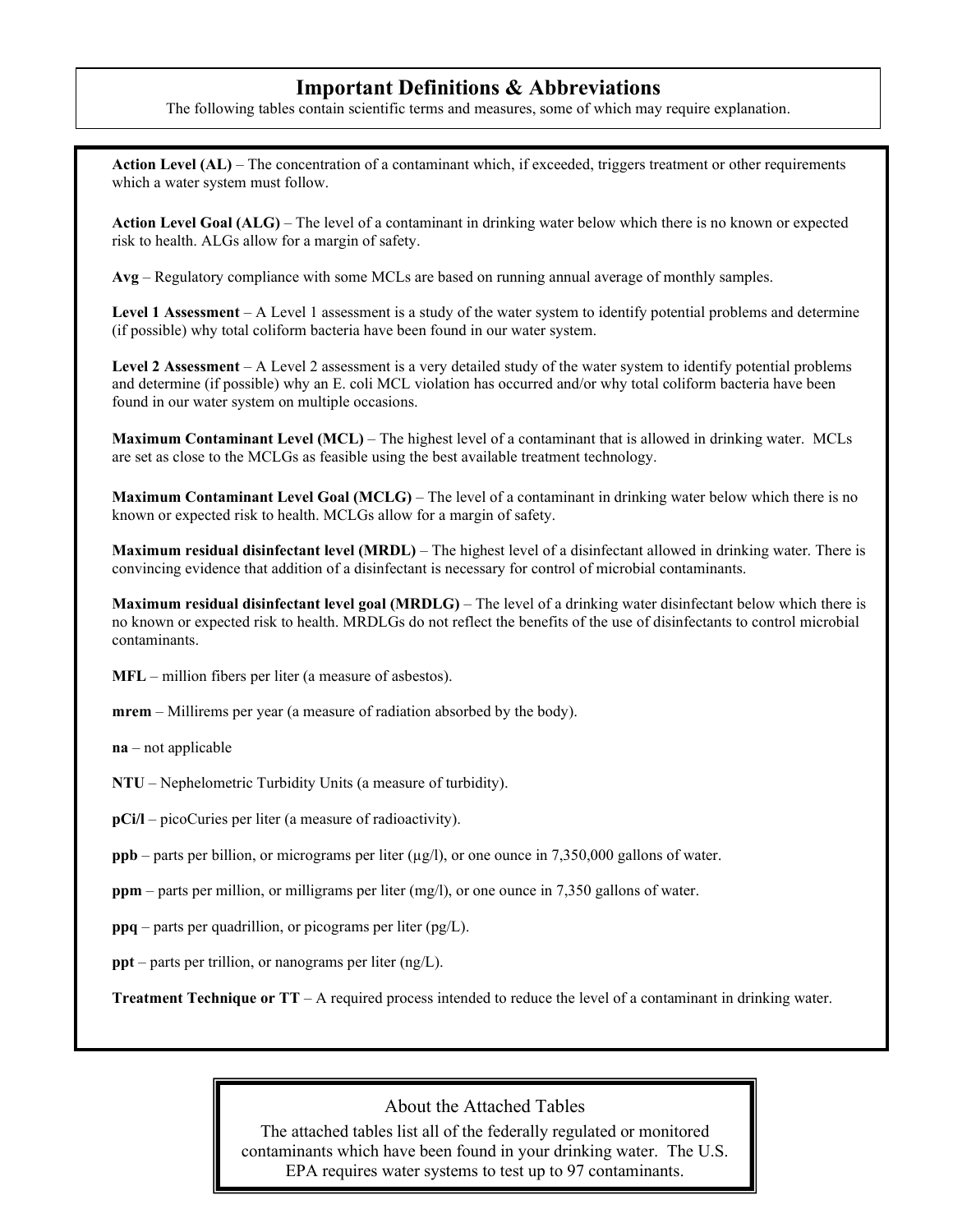### **Important Definitions & Abbreviations**

The following tables contain scientific terms and measures, some of which may require explanation.

Action Level (AL) – The concentration of a contaminant which, if exceeded, triggers treatment or other requirements which a water system must follow.

**Action Level Goal (ALG)** – The level of a contaminant in drinking water below which there is no known or expected risk to health. ALGs allow for a margin of safety.

**Avg** – Regulatory compliance with some MCLs are based on running annual average of monthly samples.

**Level 1 Assessment** – A Level 1 assessment is a study of the water system to identify potential problems and determine (if possible) why total coliform bacteria have been found in our water system.

**Level 2 Assessment** – A Level 2 assessment is a very detailed study of the water system to identify potential problems and determine (if possible) why an E. coli MCL violation has occurred and/or why total coliform bacteria have been found in our water system on multiple occasions.

**Maximum Contaminant Level (MCL)** *–* The highest level of a contaminant that is allowed in drinking water. MCLs are set as close to the MCLGs as feasible using the best available treatment technology.

**Maximum Contaminant Level Goal (MCLG)** – The level of a contaminant in drinking water below which there is no known or expected risk to health. MCLGs allow for a margin of safety.

**Maximum residual disinfectant level (MRDL)** – The highest level of a disinfectant allowed in drinking water. There is convincing evidence that addition of a disinfectant is necessary for control of microbial contaminants.

**Maximum residual disinfectant level goal (MRDLG)** – The level of a drinking water disinfectant below which there is no known or expected risk to health. MRDLGs do not reflect the benefits of the use of disinfectants to control microbial contaminants.

**MFL** – million fibers per liter (a measure of asbestos).

**mrem** – Millirems per year (a measure of radiation absorbed by the body).

**na** – not applicable

**NTU** – Nephelometric Turbidity Units (a measure of turbidity).

**pCi/l** – picoCuries per liter (a measure of radioactivity).

**ppb** – parts per billion, or micrograms per liter (µg/l), or one ounce in 7,350,000 gallons of water.

**ppm** – parts per million, or milligrams per liter (mg/l), or one ounce in 7,350 gallons of water.

**ppq** – parts per quadrillion, or picograms per liter (pg/L).

**ppt** – parts per trillion, or nanograms per liter (ng/L).

**Treatment Technique or TT** – A required process intended to reduce the level of a contaminant in drinking water.

#### About the Attached Tables

The attached tables list all of the federally regulated or monitored contaminants which have been found in your drinking water. The U.S. EPA requires water systems to test up to 97 contaminants.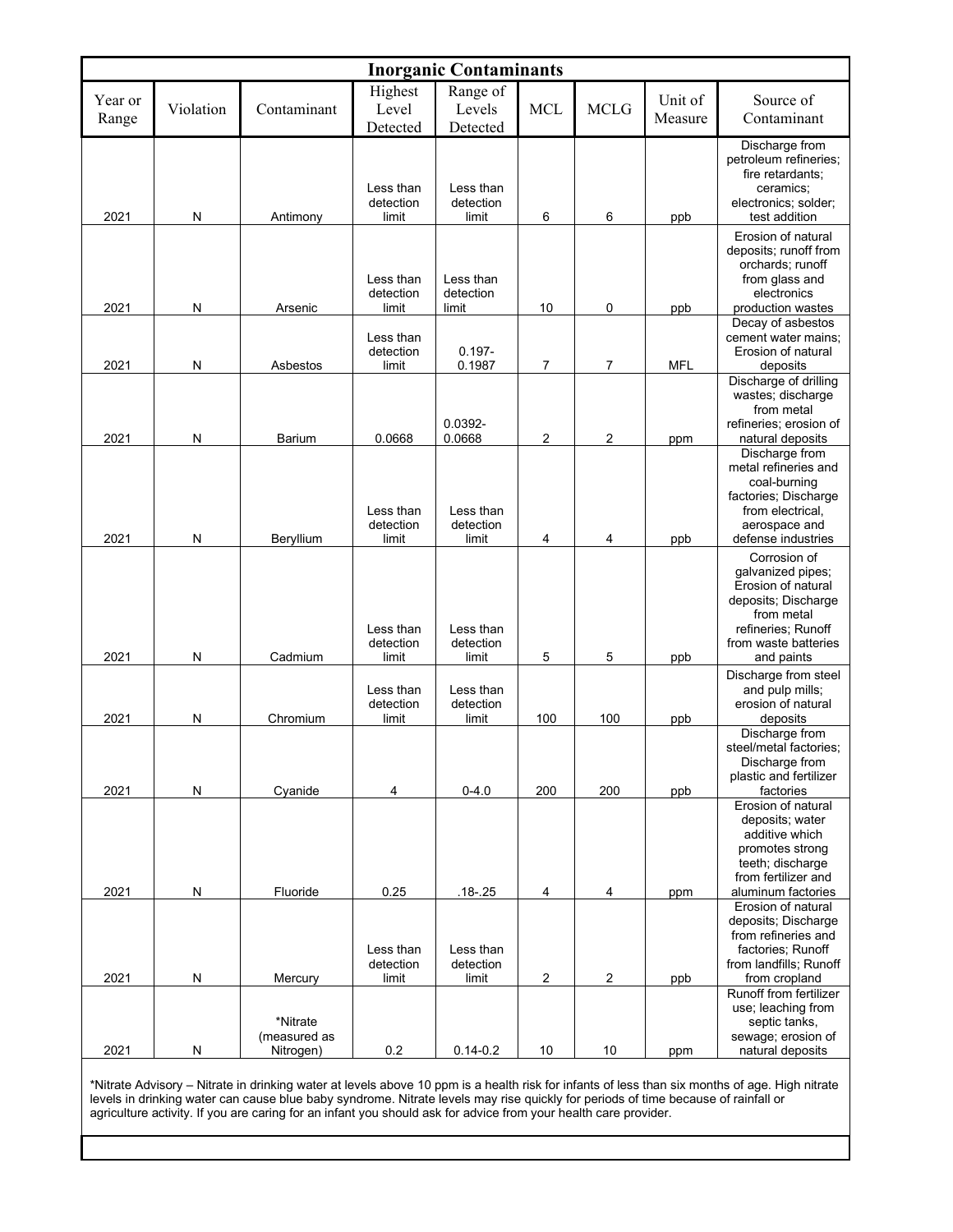| <b>Inorganic Contaminants</b> |                |                                                  |                                 |                                 |            |                               |                    |                                                                                                                                                                                                                                      |  |  |  |
|-------------------------------|----------------|--------------------------------------------------|---------------------------------|---------------------------------|------------|-------------------------------|--------------------|--------------------------------------------------------------------------------------------------------------------------------------------------------------------------------------------------------------------------------------|--|--|--|
| Year or<br>Range              | Violation      | Contaminant                                      | Highest<br>Level<br>Detected    | Range of<br>Levels<br>Detected  | <b>MCL</b> | <b>MCLG</b>                   | Unit of<br>Measure | Source of<br>Contaminant                                                                                                                                                                                                             |  |  |  |
| 2021                          | N              | Antimony                                         | Less than<br>detection<br>limit | Less than<br>detection<br>limit | 6          | 6                             | ppb                | Discharge from<br>petroleum refineries;<br>fire retardants;<br>ceramics;<br>electronics; solder;<br>test addition                                                                                                                    |  |  |  |
| 2021                          | $\mathsf{N}$   | Arsenic                                          | Less than<br>detection<br>limit | Less than<br>detection<br>limit | 10         | 0                             | ppb                | Erosion of natural<br>deposits; runoff from<br>orchards; runoff<br>from glass and<br>electronics<br>production wastes                                                                                                                |  |  |  |
| 2021                          | N              | Asbestos                                         | Less than<br>detection<br>limit | $0.197 -$<br>0.1987             | 7          | $\overline{7}$                | <b>MFL</b>         | Decay of asbestos<br>cement water mains;<br>Erosion of natural<br>deposits                                                                                                                                                           |  |  |  |
| 2021                          | ${\sf N}$      | <b>Barium</b>                                    | 0.0668                          | 0.0392-<br>0.0668               | 2          | 2                             | ppm                | Discharge of drilling<br>wastes; discharge<br>from metal<br>refineries; erosion of<br>natural deposits                                                                                                                               |  |  |  |
| 2021                          | N              | Beryllium                                        | Less than<br>detection<br>limit | Less than<br>detection<br>limit | 4          | 4                             | ppb                | Discharge from<br>metal refineries and<br>coal-burning<br>factories; Discharge<br>from electrical,<br>aerospace and<br>defense industries                                                                                            |  |  |  |
| 2021                          | N              | Cadmium                                          | Less than<br>detection<br>limit | Less than<br>detection<br>limit | 5          | 5                             | ppb                | Corrosion of<br>galvanized pipes;<br>Erosion of natural<br>deposits; Discharge<br>from metal<br>refineries; Runoff<br>from waste batteries<br>and paints                                                                             |  |  |  |
| 2021                          | N              | Chromium                                         | Less than<br>detection<br>limit | Less than<br>detection<br>limit | 100        | 100                           | ppb                | Discharge from steel<br>and pulp mills;<br>erosion of natural<br>deposits                                                                                                                                                            |  |  |  |
| 2021                          | $\mathsf{N}$   | Cyanide                                          | 4                               | $0 - 4.0$                       | 200        | 200                           | ppb                | Discharge from<br>steel/metal factories;<br>Discharge from<br>plastic and fertilizer<br>factories                                                                                                                                    |  |  |  |
| 2021                          | ${\sf N}$      | Fluoride                                         | 0.25<br>Less than               | $.18 - .25$<br>Less than        | 4          | 4                             | ppm                | Erosion of natural<br>deposits; water<br>additive which<br>promotes strong<br>teeth; discharge<br>from fertilizer and<br>aluminum factories<br>Erosion of natural<br>deposits; Discharge<br>from refineries and<br>factories; Runoff |  |  |  |
|                               |                |                                                  | detection                       | detection                       |            |                               |                    | from landfills; Runoff                                                                                                                                                                                                               |  |  |  |
| 2021                          | ${\sf N}$<br>N | Mercury<br>*Nitrate<br>(measured as<br>Nitrogen) | limit<br>0.2                    | limit<br>$0.14 - 0.2$           | 2<br>10    | $\overline{\mathbf{c}}$<br>10 | ppb<br>ppm         | from cropland<br>Runoff from fertilizer<br>use; leaching from<br>septic tanks,<br>sewage; erosion of<br>natural deposits                                                                                                             |  |  |  |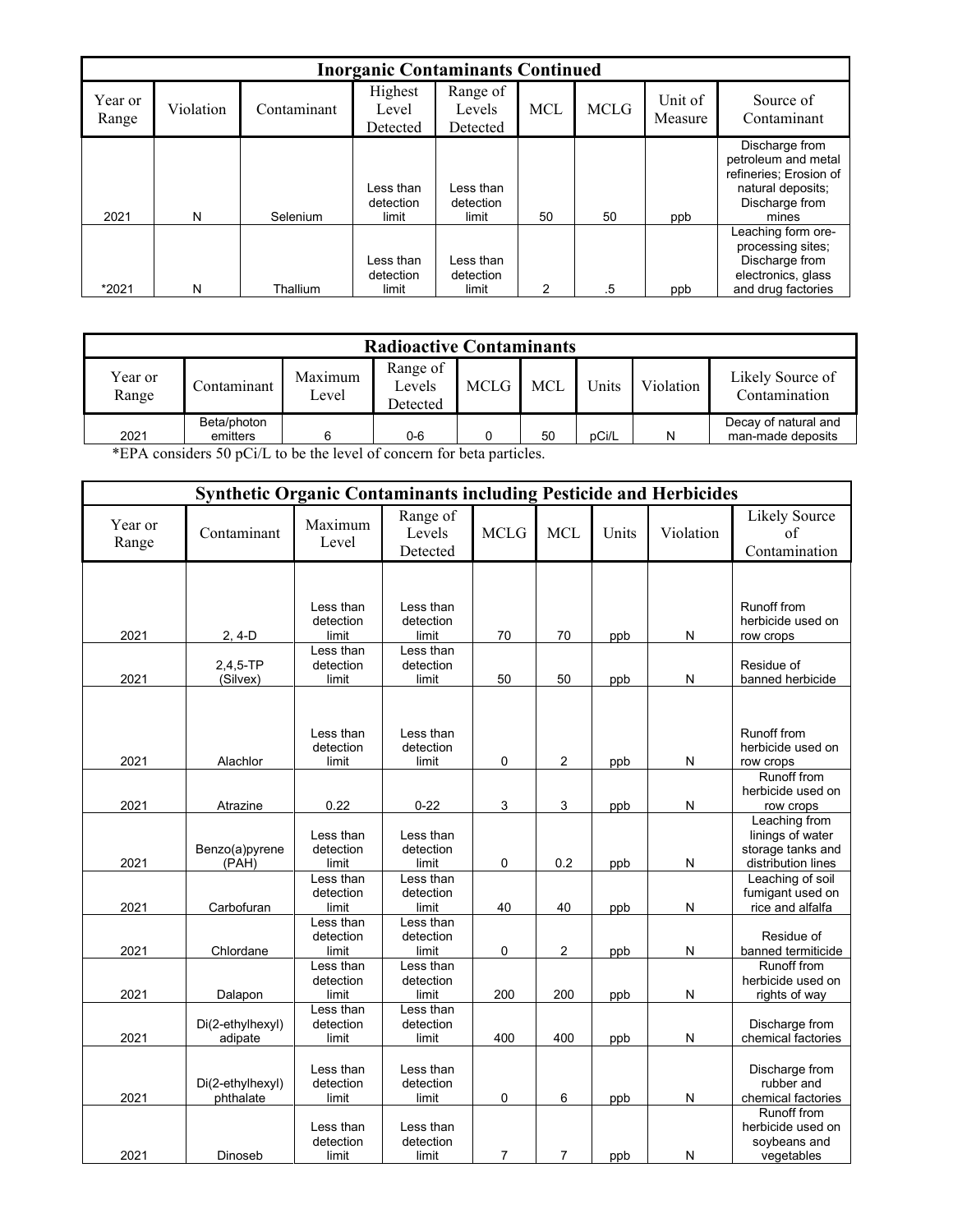|                  | <b>Inorganic Contaminants Continued</b> |             |                                 |                                 |            |             |                    |                                                                                                                 |  |  |  |  |
|------------------|-----------------------------------------|-------------|---------------------------------|---------------------------------|------------|-------------|--------------------|-----------------------------------------------------------------------------------------------------------------|--|--|--|--|
| Year or<br>Range | Violation                               | Contaminant | Highest<br>Level<br>Detected    | Range of<br>Levels<br>Detected  | <b>MCL</b> | <b>MCLG</b> | Unit of<br>Measure | Source of<br>Contaminant                                                                                        |  |  |  |  |
| 2021             | N                                       | Selenium    | Less than<br>detection<br>limit | Less than<br>detection<br>limit | 50         | 50          | ppb                | Discharge from<br>petroleum and metal<br>refineries: Erosion of<br>natural deposits;<br>Discharge from<br>mines |  |  |  |  |
| *2021            | N                                       | Thallium    | Less than<br>detection<br>limit | Less than<br>detection<br>limit | 2          | .5          | ppb                | Leaching form ore-<br>processing sites;<br>Discharge from<br>electronics, glass<br>and drug factories           |  |  |  |  |

| <b>Radioactive Contaminants</b>                                                                           |             |                  |                                |      |            |       |           |                                   |  |  |  |
|-----------------------------------------------------------------------------------------------------------|-------------|------------------|--------------------------------|------|------------|-------|-----------|-----------------------------------|--|--|--|
| Year or<br>Range                                                                                          | Contaminant | Maximum<br>Level | Range of<br>Levels<br>Detected | MCLG | <b>MCL</b> | Units | Violation | Likely Source of<br>Contamination |  |  |  |
| Beta/photon<br>Decay of natural and<br>2021<br>man-made deposits<br>pCi/L<br>50<br>N<br>$0-6$<br>emitters |             |                  |                                |      |            |       |           |                                   |  |  |  |

\*EPA considers 50 pCi/L to be the level of concern for beta particles.

|                  | <b>Synthetic Organic Contaminants including Pesticide and Herbicides</b> |                                 |                                 |             |                |       |           |                                                                              |
|------------------|--------------------------------------------------------------------------|---------------------------------|---------------------------------|-------------|----------------|-------|-----------|------------------------------------------------------------------------------|
| Year or<br>Range | Contaminant                                                              | Maximum<br>Level                | Range of<br>Levels<br>Detected  | <b>MCLG</b> | <b>MCL</b>     | Units | Violation | Likely Source<br>of<br>Contamination                                         |
|                  |                                                                          |                                 |                                 |             |                |       |           |                                                                              |
| 2021             | $2, 4-D$                                                                 | Less than<br>detection<br>limit | Less than<br>detection<br>limit | 70          | 70             | ppb   | Ν         | <b>Runoff from</b><br>herbicide used on<br>row crops                         |
| 2021             | $2,4,5-TP$<br>(Silvex)                                                   | Less than<br>detection<br>limit | Less than<br>detection<br>limit | 50          | 50             | ppb   | N         | Residue of<br>banned herbicide                                               |
| 2021             | Alachlor                                                                 | Less than<br>detection<br>limit | Less than<br>detection<br>limit | 0           | $\overline{2}$ | ppb   | N         | <b>Runoff from</b><br>herbicide used on<br>row crops                         |
| 2021             | Atrazine                                                                 | 0.22                            | $0 - 22$                        | 3           | 3              | ppb   | N         | <b>Runoff from</b><br>herbicide used on<br>row crops                         |
| 2021             | Benzo(a)pyrene<br>(PAH)                                                  | Less than<br>detection<br>limit | Less than<br>detection<br>limit | 0           | 0.2            | ppb   | N         | Leaching from<br>linings of water<br>storage tanks and<br>distribution lines |
| 2021             | Carbofuran                                                               | Less than<br>detection<br>limit | Less than<br>detection<br>limit | 40          | 40             | ppb   | N         | Leaching of soil<br>fumigant used on<br>rice and alfalfa                     |
| 2021             | Chlordane                                                                | Less than<br>detection<br>limit | Less than<br>detection<br>limit | 0           | 2              | ppb   | N         | Residue of<br>banned termiticide                                             |
| 2021             | Dalapon                                                                  | Less than<br>detection<br>limit | Less than<br>detection<br>limit | 200         | 200            | ppb   | N         | <b>Runoff from</b><br>herbicide used on<br>rights of way                     |
| 2021             | Di(2-ethylhexyl)<br>adipate                                              | Less than<br>detection<br>limit | Less than<br>detection<br>limit | 400         | 400            | ppb   | N         | Discharge from<br>chemical factories                                         |
| 2021             | Di(2-ethylhexyl)<br>phthalate                                            | Less than<br>detection<br>limit | Less than<br>detection<br>limit | 0           | 6              | ppb   | Ν         | Discharge from<br>rubber and<br>chemical factories                           |
| 2021             | Dinoseb                                                                  | Less than<br>detection<br>limit | Less than<br>detection<br>limit | 7           | $\overline{7}$ | ppb   | N         | <b>Runoff from</b><br>herbicide used on<br>soybeans and<br>vegetables        |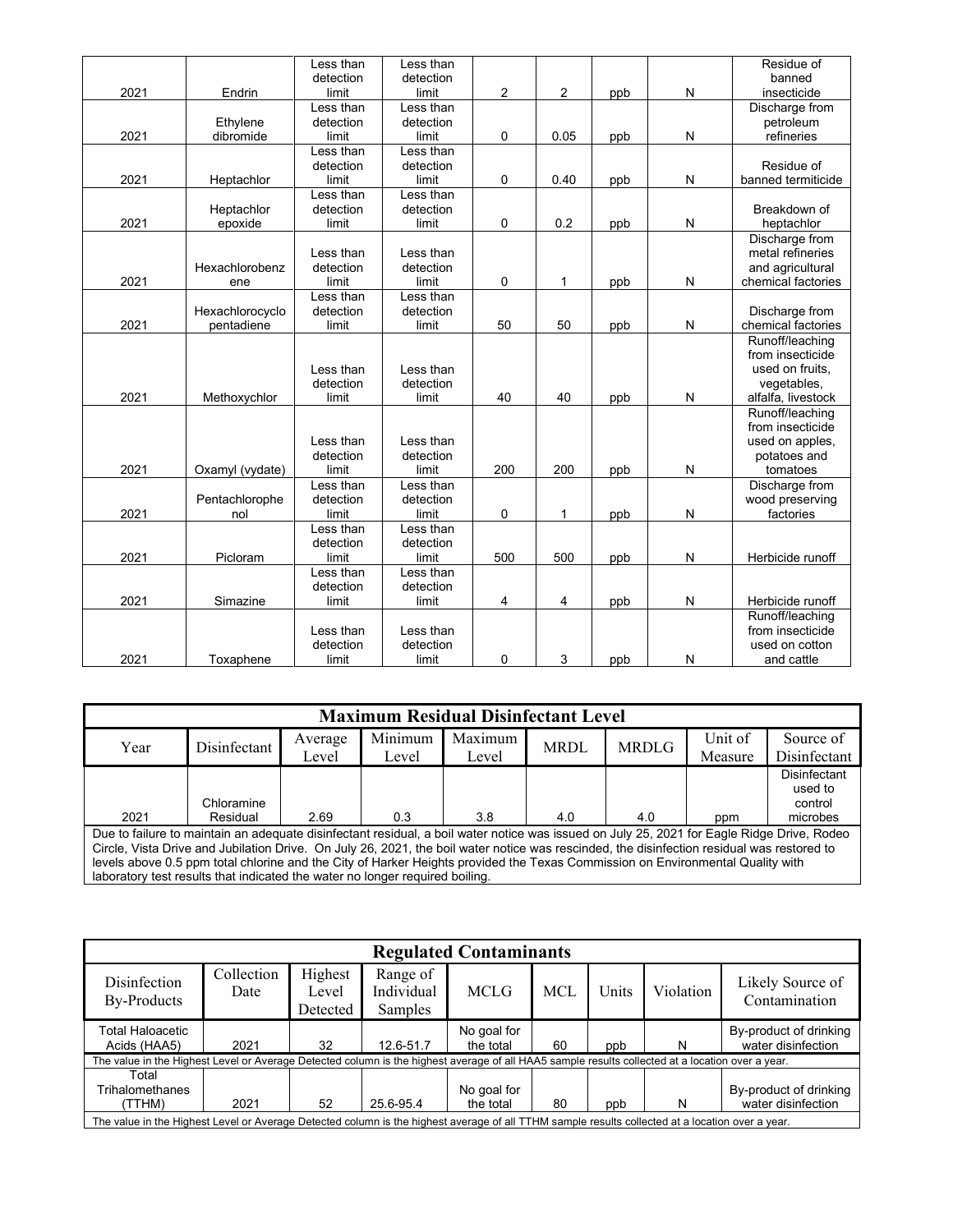|      |                 | Less than | Less than |     |      |     |   | Residue of         |
|------|-----------------|-----------|-----------|-----|------|-----|---|--------------------|
|      |                 | detection | detection |     |      |     |   | banned             |
| 2021 | Endrin          | limit     | limit     | 2   | 2    | ppb | N | insecticide        |
|      |                 | Less than | Less than |     |      |     |   | Discharge from     |
|      | Ethylene        | detection | detection |     |      |     |   | petroleum          |
| 2021 | dibromide       | limit     | limit     | 0   | 0.05 | ppb | N | refineries         |
|      |                 | Less than | Less than |     |      |     |   |                    |
|      |                 | detection | detection |     |      |     |   | Residue of         |
| 2021 | Heptachlor      | limit     | limit     | 0   | 0.40 | ppb | N | banned termiticide |
|      |                 | Less than | Less than |     |      |     |   |                    |
|      | Heptachlor      | detection | detection |     |      |     |   | Breakdown of       |
| 2021 | epoxide         | limit     | limit     | 0   | 0.2  | ppb | N | heptachlor         |
|      |                 |           |           |     |      |     |   | Discharge from     |
|      |                 | Less than | Less than |     |      |     |   | metal refineries   |
|      | Hexachlorobenz  | detection | detection |     |      |     |   | and agricultural   |
| 2021 | ene             | limit     | limit     | 0   | 1    | ppb | N | chemical factories |
|      |                 | Less than | Less than |     |      |     |   |                    |
|      | Hexachlorocyclo | detection | detection |     |      |     |   | Discharge from     |
| 2021 | pentadiene      | limit     | limit     | 50  | 50   | ppb | N | chemical factories |
|      |                 |           |           |     |      |     |   | Runoff/leaching    |
|      |                 |           |           |     |      |     |   | from insecticide   |
|      |                 | Less than | Less than |     |      |     |   | used on fruits.    |
|      |                 | detection | detection |     |      |     |   | vegetables,        |
| 2021 | Methoxychlor    | limit     | limit     | 40  | 40   | ppb | N | alfalfa, livestock |
|      |                 |           |           |     |      |     |   | Runoff/leaching    |
|      |                 |           |           |     |      |     |   | from insecticide   |
|      |                 | Less than | Less than |     |      |     |   | used on apples,    |
|      |                 | detection | detection |     |      |     |   | potatoes and       |
| 2021 | Oxamyl (vydate) | limit     | limit     | 200 | 200  | ppb | N | tomatoes           |
|      |                 | Less than | Less than |     |      |     |   | Discharge from     |
|      | Pentachlorophe  | detection | detection |     |      |     |   | wood preserving    |
| 2021 | nol             | limit     | limit     | 0   | 1    | ppb | N | factories          |
|      |                 | Less than | Less than |     |      |     |   |                    |
|      |                 | detection | detection |     |      |     |   |                    |
| 2021 | Picloram        | limit     | limit     | 500 | 500  | ppb | N | Herbicide runoff   |
|      |                 | Less than | Less than |     |      |     |   |                    |
|      |                 | detection | detection |     |      |     |   |                    |
| 2021 | Simazine        | limit     | limit     | 4   | 4    | ppb | N | Herbicide runoff   |
|      |                 |           |           |     |      |     |   | Runoff/leaching    |
|      |                 | Less than | Less than |     |      |     |   | from insecticide   |
|      |                 | detection | detection |     |      |     |   | used on cotton     |
| 2021 | Toxaphene       | limit     | limit     | 0   | 3    | ppb | N | and cattle         |

| <b>Maximum Residual Disinfectant Level</b>                                                                                         |                                                                                                                                                                                                                                                                                                                                                                                                                                                                                                            |                  |                  |                  |             |              |                    |                           |  |  |  |
|------------------------------------------------------------------------------------------------------------------------------------|------------------------------------------------------------------------------------------------------------------------------------------------------------------------------------------------------------------------------------------------------------------------------------------------------------------------------------------------------------------------------------------------------------------------------------------------------------------------------------------------------------|------------------|------------------|------------------|-------------|--------------|--------------------|---------------------------|--|--|--|
| Year                                                                                                                               | Disinfectant                                                                                                                                                                                                                                                                                                                                                                                                                                                                                               | Average<br>Level | Minimum<br>Level | Maximum<br>Level | <b>MRDL</b> | <b>MRDLG</b> | Unit of<br>Measure | Source of<br>Disinfectant |  |  |  |
| <b>Disinfectant</b><br>used to<br>Chloramine<br>control<br>2021<br>3.8<br>0.3<br>4.0<br>Residual<br>2.69<br>4.0<br>microbes<br>ppm |                                                                                                                                                                                                                                                                                                                                                                                                                                                                                                            |                  |                  |                  |             |              |                    |                           |  |  |  |
|                                                                                                                                    | Due to failure to maintain an adequate disinfectant residual, a boil water notice was issued on July 25, 2021 for Eagle Ridge Drive, Rodeo<br>Circle, Vista Drive and Jubilation Drive. On July 26, 2021, the boil water notice was rescinded, the disinfection residual was restored to<br>levels above 0.5 ppm total chlorine and the City of Harker Heights provided the Texas Commission on Environmental Quality with<br>laboratory test results that indicated the water no longer required boiling. |                  |                  |                  |             |              |                    |                           |  |  |  |

|                                                                                                                                                                    | <b>Regulated Contaminants</b> |                              |                                          |                          |            |       |           |                                              |  |  |  |
|--------------------------------------------------------------------------------------------------------------------------------------------------------------------|-------------------------------|------------------------------|------------------------------------------|--------------------------|------------|-------|-----------|----------------------------------------------|--|--|--|
| Disinfection<br>By-Products                                                                                                                                        | Collection<br>Date            | Highest<br>Level<br>Detected | Range of<br>Individual<br><b>Samples</b> | <b>MCLG</b>              | <b>MCL</b> | Units | Violation | Likely Source of<br>Contamination            |  |  |  |
| Total Haloacetic<br>Acids (HAA5)                                                                                                                                   | 2021                          | 32                           | 12.6-51.7                                | No goal for<br>the total | 60         | ppb   | N         | By-product of drinking<br>water disinfection |  |  |  |
| The value in the Highest Level or Average Detected column is the highest average of all HAA5 sample results collected at a location over a year.                   |                               |                              |                                          |                          |            |       |           |                                              |  |  |  |
| Total<br>By-product of drinking<br>No goal for<br><b>Trihalomethanes</b><br>water disinfection<br>52<br>25.6-95.4<br>N<br>2021<br>the total<br>80<br>(TTHM)<br>ppb |                               |                              |                                          |                          |            |       |           |                                              |  |  |  |
| The value in the Highest Level or Average Detected column is the highest average of all TTHM sample results collected at a location over a year.                   |                               |                              |                                          |                          |            |       |           |                                              |  |  |  |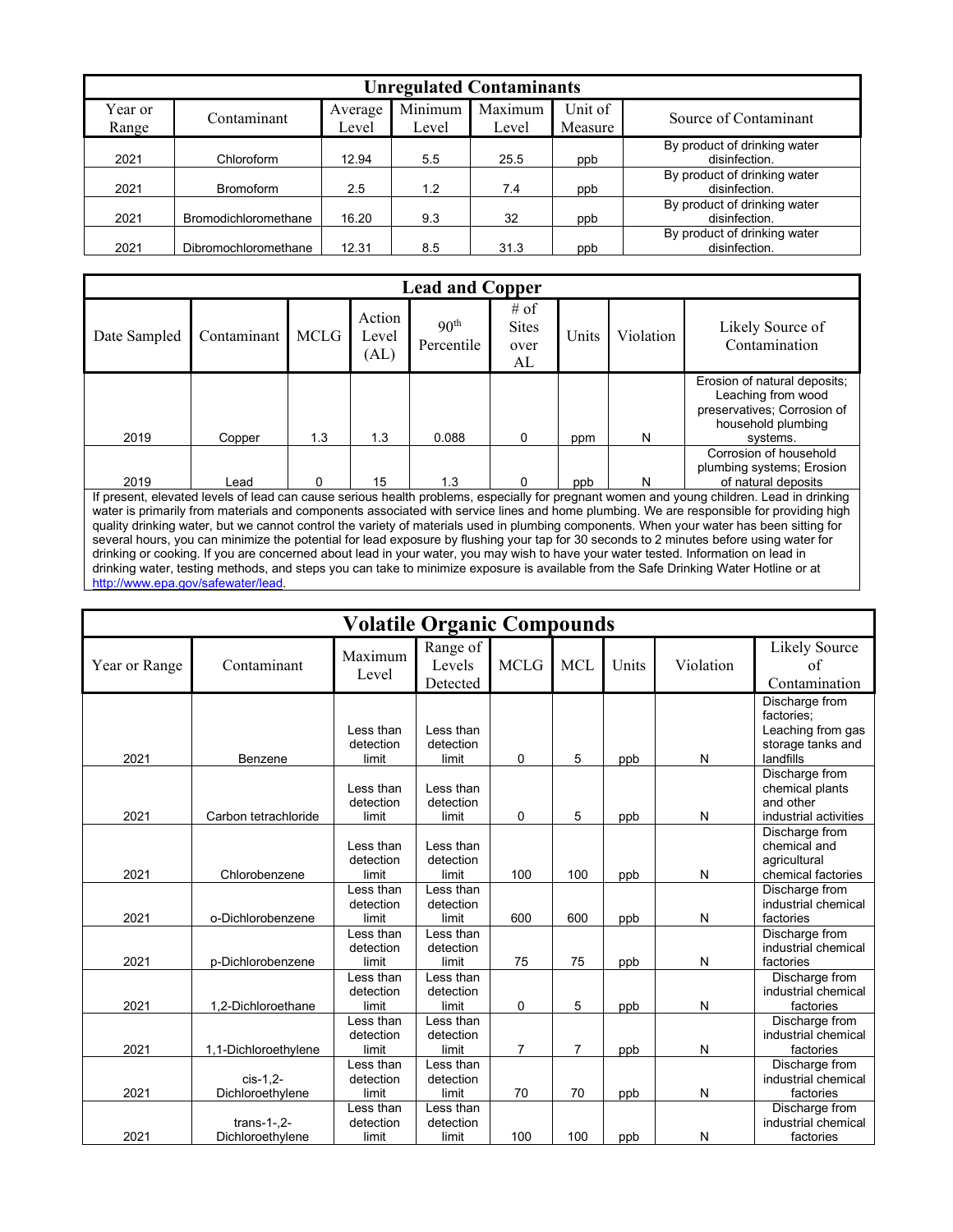|                  | <b>Unregulated Contaminants</b> |                  |                  |                  |                    |                                               |  |  |  |  |  |
|------------------|---------------------------------|------------------|------------------|------------------|--------------------|-----------------------------------------------|--|--|--|--|--|
| Year or<br>Range | Contaminant                     | Average<br>Level | Minimum<br>Level | Maximum<br>Level | Unit of<br>Measure | Source of Contaminant                         |  |  |  |  |  |
| 2021             | Chloroform                      | 12.94            | 5.5              | 25.5             | ppb                | By product of drinking water<br>disinfection. |  |  |  |  |  |
| 2021             | Bromoform                       | 2.5              | 1.2              | 7.4              | ppb                | By product of drinking water<br>disinfection. |  |  |  |  |  |
| 2021             | Bromodichloromethane            | 16.20            | 9.3              | 32               | ppb                | By product of drinking water<br>disinfection. |  |  |  |  |  |
| 2021             | Dibromochloromethane            | 12.31            | 8.5              | 31.3             | ppb                | By product of drinking water<br>disinfection. |  |  |  |  |  |

|                                                                                                                                                                                                                                                                                                                                                                                                                                                                                                                                                                                                                                                                                                                                                                                                                                                                                                 |             |             |                         | <b>Lead and Copper</b>         |                                    |       |           |                                                                            |  |  |  |
|-------------------------------------------------------------------------------------------------------------------------------------------------------------------------------------------------------------------------------------------------------------------------------------------------------------------------------------------------------------------------------------------------------------------------------------------------------------------------------------------------------------------------------------------------------------------------------------------------------------------------------------------------------------------------------------------------------------------------------------------------------------------------------------------------------------------------------------------------------------------------------------------------|-------------|-------------|-------------------------|--------------------------------|------------------------------------|-------|-----------|----------------------------------------------------------------------------|--|--|--|
| Date Sampled                                                                                                                                                                                                                                                                                                                                                                                                                                                                                                                                                                                                                                                                                                                                                                                                                                                                                    | Contaminant | <b>MCLG</b> | Action<br>Level<br>(AL) | 90 <sup>th</sup><br>Percentile | # of<br><b>Sites</b><br>over<br>AL | Units | Violation | Likely Source of<br>Contamination                                          |  |  |  |
| Erosion of natural deposits;<br>Leaching from wood<br>preservatives; Corrosion of<br>household plumbing<br>1.3<br>1.3<br>2019<br>N<br>0.088<br>$\Omega$<br>Copper<br>systems.<br>ppm                                                                                                                                                                                                                                                                                                                                                                                                                                                                                                                                                                                                                                                                                                            |             |             |                         |                                |                                    |       |           |                                                                            |  |  |  |
| 2019                                                                                                                                                                                                                                                                                                                                                                                                                                                                                                                                                                                                                                                                                                                                                                                                                                                                                            | Lead        | $\Omega$    | 15                      | 1.3                            |                                    | ppb   | N         | Corrosion of household<br>plumbing systems; Erosion<br>of natural deposits |  |  |  |
| If present, elevated levels of lead can cause serious health problems, especially for pregnant women and young children. Lead in drinking<br>water is primarily from materials and components associated with service lines and home plumbing. We are responsible for providing high<br>quality drinking water, but we cannot control the variety of materials used in plumbing components. When your water has been sitting for<br>several hours, you can minimize the potential for lead exposure by flushing your tap for 30 seconds to 2 minutes before using water for<br>drinking or cooking. If you are concerned about lead in your water, you may wish to have your water tested. Information on lead in<br>drinking water, testing methods, and steps you can take to minimize exposure is available from the Safe Drinking Water Hotline or at<br>http://www.epa.gov/safewater/lead. |             |             |                         |                                |                                    |       |           |                                                                            |  |  |  |

|               |                                   |                                 | <b>Volatile Organic Compounds</b> |                |            |       |           |                                                                                     |
|---------------|-----------------------------------|---------------------------------|-----------------------------------|----------------|------------|-------|-----------|-------------------------------------------------------------------------------------|
| Year or Range | Contaminant                       | Maximum<br>Level                | Range of<br>Levels<br>Detected    | <b>MCLG</b>    | <b>MCL</b> | Units | Violation | Likely Source<br>of<br>Contamination                                                |
| 2021          | Benzene                           | Less than<br>detection<br>limit | Less than<br>detection<br>limit   | $\mathbf 0$    | 5          | ppb   | N         | Discharge from<br>factories;<br>Leaching from gas<br>storage tanks and<br>landfills |
| 2021          | Carbon tetrachloride              | Less than<br>detection<br>limit | Less than<br>detection<br>limit   | $\Omega$       | 5          | ppb   | N         | Discharge from<br>chemical plants<br>and other<br>industrial activities             |
| 2021          | Chlorobenzene                     | Less than<br>detection<br>limit | Less than<br>detection<br>limit   | 100            | 100        | ppb   | N         | Discharge from<br>chemical and<br>agricultural<br>chemical factories                |
| 2021          | o-Dichlorobenzene                 | Less than<br>detection<br>limit | Less than<br>detection<br>limit   | 600            | 600        | ppb   | N         | Discharge from<br>industrial chemical<br>factories                                  |
| 2021          | p-Dichlorobenzene                 | Less than<br>detection<br>limit | Less than<br>detection<br>limit   | 75             | 75         | ppb   | N         | Discharge from<br>industrial chemical<br>factories                                  |
| 2021          | 1.2-Dichloroethane                | Less than<br>detection<br>limit | Less than<br>detection<br>limit   | $\mathbf 0$    | 5          | ppb   | N         | Discharge from<br>industrial chemical<br>factories                                  |
| 2021          | 1,1-Dichloroethylene              | Less than<br>detection<br>limit | Less than<br>detection<br>limit   | $\overline{7}$ | 7          | ppb   | N         | Discharge from<br>industrial chemical<br>factories                                  |
| 2021          | cis-1.2-<br>Dichloroethylene      | Less than<br>detection<br>limit | Less than<br>detection<br>limit   | 70             | 70         | ppb   | N         | Discharge from<br>industrial chemical<br>factories                                  |
| 2021          | $trans-1-.2-$<br>Dichloroethylene | Less than<br>detection<br>limit | Less than<br>detection<br>limit   | 100            | 100        | ppb   | N         | Discharge from<br>industrial chemical<br>factories                                  |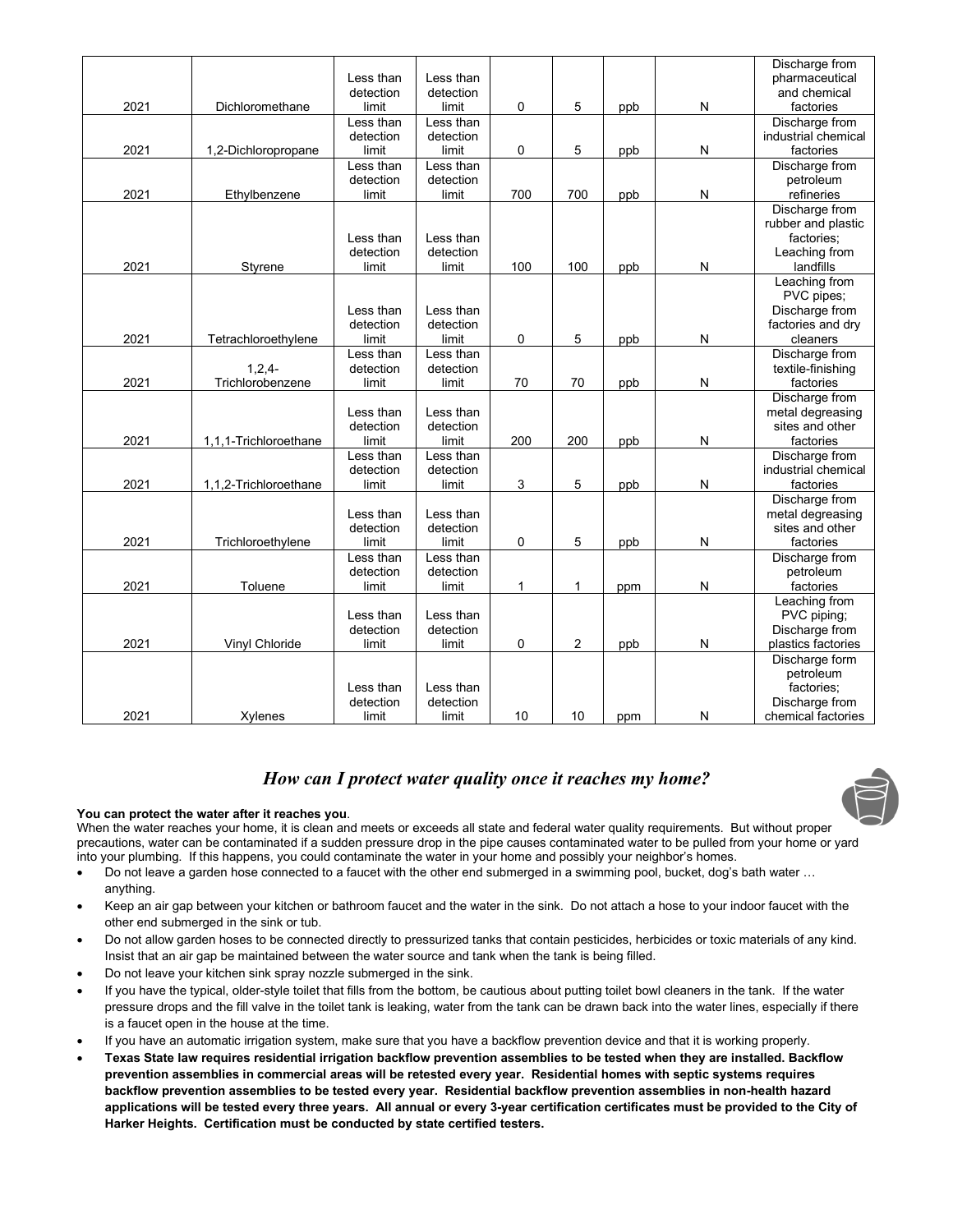|      |                       |           |           |              |                |     |              | Discharge from      |
|------|-----------------------|-----------|-----------|--------------|----------------|-----|--------------|---------------------|
|      |                       | Less than | Less than |              |                |     |              | pharmaceutical      |
|      |                       | detection | detection |              |                |     |              | and chemical        |
| 2021 | Dichloromethane       | limit     | limit     | 0            | 5              | ppb | N            | factories           |
|      |                       | Less than | Less than |              |                |     |              | Discharge from      |
|      |                       | detection | detection |              |                |     |              | industrial chemical |
| 2021 | 1,2-Dichloropropane   | limit     | limit     | 0            | 5              | ppb | N            | factories           |
|      |                       | Less than | Less than |              |                |     |              | Discharge from      |
|      |                       | detection | detection |              |                |     |              | petroleum           |
| 2021 | Ethylbenzene          | limit     | limit     | 700          | 700            | ppb | N            | refineries          |
|      |                       |           |           |              |                |     |              | Discharge from      |
|      |                       |           |           |              |                |     |              | rubber and plastic  |
|      |                       | Less than | Less than |              |                |     |              | factories;          |
|      |                       | detection | detection |              |                |     |              | Leaching from       |
| 2021 | Styrene               | limit     | limit     | 100          | 100            | ppb | N            | landfills           |
|      |                       |           |           |              |                |     |              | Leaching from       |
|      |                       |           |           |              |                |     |              | PVC pipes;          |
|      |                       | Less than | Less than |              |                |     |              | Discharge from      |
|      |                       | detection | detection |              |                |     |              | factories and dry   |
| 2021 | Tetrachloroethylene   | limit     | limit     | 0            | 5              | ppb | N            | cleaners            |
|      |                       | Less than | Less than |              |                |     |              | Discharge from      |
|      | $1,2,4-$              | detection | detection |              |                |     |              | textile-finishing   |
| 2021 | Trichlorobenzene      | limit     | limit     | 70           | 70             | ppb | N            | factories           |
|      |                       |           |           |              |                |     |              | Discharge from      |
|      |                       | Less than | Less than |              |                |     |              | metal degreasing    |
|      |                       | detection | detection |              |                |     |              | sites and other     |
| 2021 | 1,1,1-Trichloroethane | limit     | limit     | 200          | 200            | ppb | $\mathsf{N}$ | factories           |
|      |                       | Less than | Less than |              |                |     |              | Discharge from      |
|      |                       | detection | detection |              |                |     |              | industrial chemical |
| 2021 | 1,1,2-Trichloroethane | limit     | limit     | 3            | 5              | ppb | N            | factories           |
|      |                       |           |           |              |                |     |              | Discharge from      |
|      |                       | Less than | Less than |              |                |     |              | metal degreasing    |
|      |                       | detection | detection |              |                |     |              | sites and other     |
| 2021 | Trichloroethylene     | limit     | limit     | 0            | 5              | ppb | N            | factories           |
|      |                       | Less than | Less than |              |                |     |              | Discharge from      |
|      |                       | detection | detection |              |                |     |              | petroleum           |
| 2021 | Toluene               | limit     | limit     | $\mathbf{1}$ | $\mathbf 1$    | ppm | N            | factories           |
|      |                       |           |           |              |                |     |              | Leaching from       |
|      |                       | Less than | Less than |              |                |     |              | PVC piping;         |
|      |                       | detection | detection |              |                |     |              | Discharge from      |
| 2021 | Vinyl Chloride        | limit     | limit     | 0            | $\overline{c}$ | ppb | N            | plastics factories  |
|      |                       |           |           |              |                |     |              | Discharge form      |
|      |                       |           |           |              |                |     |              | petroleum           |
|      |                       | Less than | Less than |              |                |     |              | factories;          |
|      |                       | detection | detection |              |                |     |              | Discharge from      |
| 2021 | Xylenes               | limit     | limit     | 10           | 10             | ppm | N            | chemical factories  |

#### *How can I protect water quality once it reaches my home?*

#### **You can protect the water after it reaches you**.

When the water reaches your home, it is clean and meets or exceeds all state and federal water quality requirements. But without proper precautions, water can be contaminated if a sudden pressure drop in the pipe causes contaminated water to be pulled from your home or yard into your plumbing. If this happens, you could contaminate the water in your home and possibly your neighbor's homes.

- Do not leave a garden hose connected to a faucet with the other end submerged in a swimming pool, bucket, dog's bath water … anything.
- Keep an air gap between your kitchen or bathroom faucet and the water in the sink. Do not attach a hose to your indoor faucet with the other end submerged in the sink or tub.
- Do not allow garden hoses to be connected directly to pressurized tanks that contain pesticides, herbicides or toxic materials of any kind. Insist that an air gap be maintained between the water source and tank when the tank is being filled.
- Do not leave your kitchen sink spray nozzle submerged in the sink.
- If you have the typical, older-style toilet that fills from the bottom, be cautious about putting toilet bowl cleaners in the tank. If the water pressure drops and the fill valve in the toilet tank is leaking, water from the tank can be drawn back into the water lines, especially if there is a faucet open in the house at the time.
- If you have an automatic irrigation system, make sure that you have a backflow prevention device and that it is working properly.
- **Texas State law requires residential irrigation backflow prevention assemblies to be tested when they are installed. Backflow prevention assemblies in commercial areas will be retested every year. Residential homes with septic systems requires backflow prevention assemblies to be tested every year. Residential backflow prevention assemblies in non-health hazard applications will be tested every three years. All annual or every 3-year certification certificates must be provided to the City of Harker Heights. Certification must be conducted by state certified testers.**

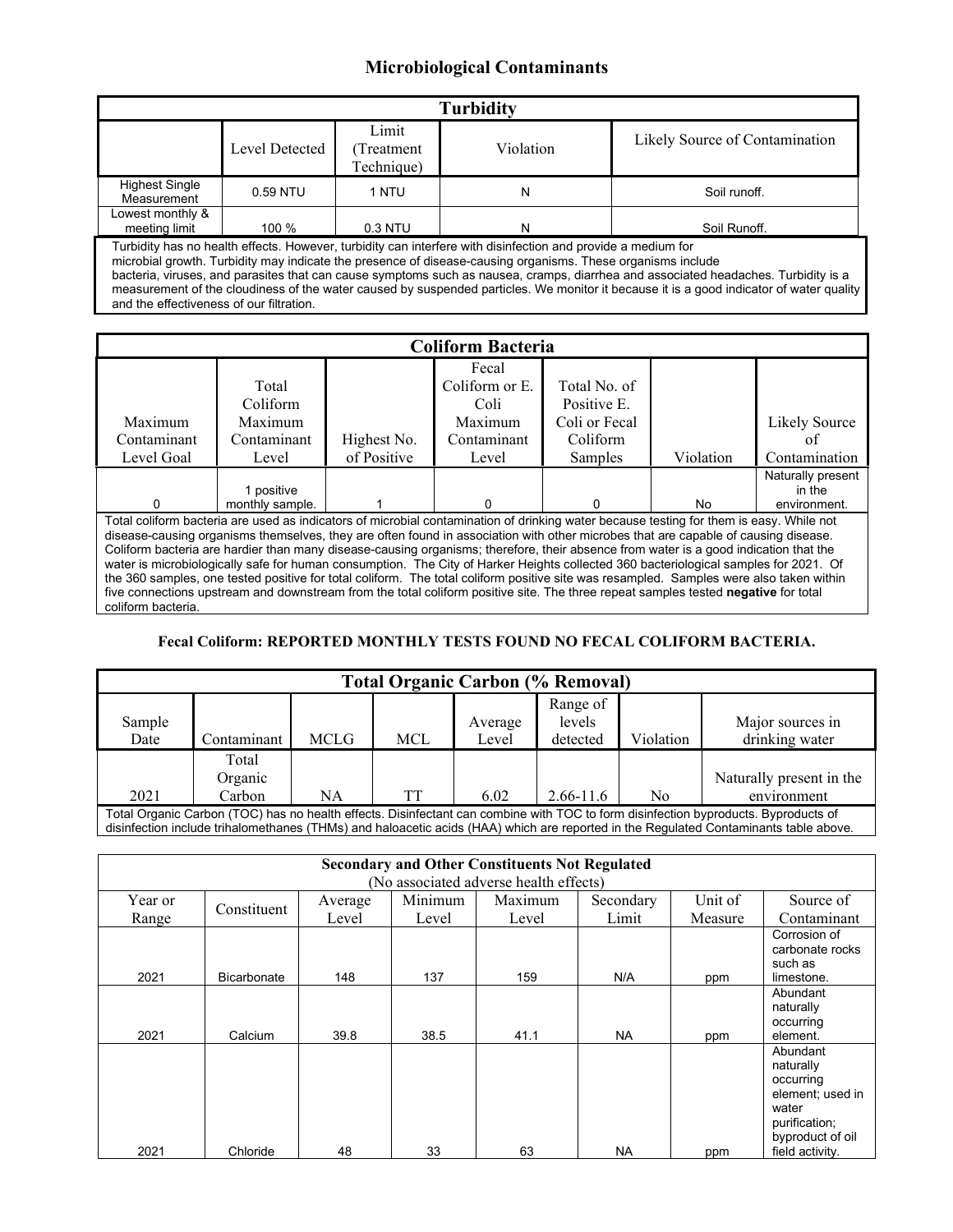#### **Microbiological Contaminants**

| <b>Turbidity</b>                                                                                                                                                                                                                                                                                                                                                                                                                                                                                             |                |                                    |           |                                |  |  |  |  |
|--------------------------------------------------------------------------------------------------------------------------------------------------------------------------------------------------------------------------------------------------------------------------------------------------------------------------------------------------------------------------------------------------------------------------------------------------------------------------------------------------------------|----------------|------------------------------------|-----------|--------------------------------|--|--|--|--|
|                                                                                                                                                                                                                                                                                                                                                                                                                                                                                                              | Level Detected | Limit<br>(Treatment)<br>Technique) | Violation | Likely Source of Contamination |  |  |  |  |
| <b>Highest Single</b><br>Measurement                                                                                                                                                                                                                                                                                                                                                                                                                                                                         | 0.59 NTU       | 1 NTU                              | N         | Soil runoff.                   |  |  |  |  |
| Lowest monthly &<br>meeting limit<br>$100 \%$<br>$0.3$ NTU<br>Soil Runoff.<br>N                                                                                                                                                                                                                                                                                                                                                                                                                              |                |                                    |           |                                |  |  |  |  |
| Turbidity has no health effects. However, turbidity can interfere with disinfection and provide a medium for<br>microbial growth. Turbidity may indicate the presence of disease-causing organisms. These organisms include<br>bacteria, viruses, and parasites that can cause symptoms such as nausea, cramps, diarrhea and associated headaches. Turbidity is a<br>measurement of the cloudiness of the water caused by suspended particles. We monitor it because it is a good indicator of water quality |                |                                    |           |                                |  |  |  |  |

and the effectiveness of our filtration.

| <b>Coliform Bacteria</b>                                                                                                                |                                                                                                                                         |             |                |               |           |                   |  |  |  |  |
|-----------------------------------------------------------------------------------------------------------------------------------------|-----------------------------------------------------------------------------------------------------------------------------------------|-------------|----------------|---------------|-----------|-------------------|--|--|--|--|
|                                                                                                                                         |                                                                                                                                         |             | Fecal          |               |           |                   |  |  |  |  |
|                                                                                                                                         | Total                                                                                                                                   |             | Coliform or E. | Total No. of  |           |                   |  |  |  |  |
|                                                                                                                                         | Coliform                                                                                                                                |             | Coli           | Positive E.   |           |                   |  |  |  |  |
| Maximum                                                                                                                                 | Maximum                                                                                                                                 |             | Maximum        | Coli or Fecal |           | Likely Source     |  |  |  |  |
| Contaminant                                                                                                                             | Contaminant                                                                                                                             | Highest No. | Contaminant    | Coliform      |           | oť                |  |  |  |  |
| Level Goal                                                                                                                              | Level                                                                                                                                   | of Positive | Level          | Samples       | Violation | Contamination     |  |  |  |  |
|                                                                                                                                         |                                                                                                                                         |             |                |               |           | Naturally present |  |  |  |  |
|                                                                                                                                         | 1 positive                                                                                                                              |             |                |               |           | in the            |  |  |  |  |
| <sup>0</sup>                                                                                                                            | monthly sample.                                                                                                                         |             |                |               | No.       | environment.      |  |  |  |  |
|                                                                                                                                         | Total coliform bacteria are used as indicators of microbial contamination of drinking water because testing for them is easy. While not |             |                |               |           |                   |  |  |  |  |
| disease-causing organisms themselves, they are often found in association with other microbes that are capable of causing disease.      |                                                                                                                                         |             |                |               |           |                   |  |  |  |  |
| Coliform bacteria are hardier than many disease-causing organisms; therefore, their absence from water is a good indication that the    |                                                                                                                                         |             |                |               |           |                   |  |  |  |  |
| water is microbiologically safe for human consumption. The City of Harker Heights collected 360 bacteriological samples for 2021. Of    |                                                                                                                                         |             |                |               |           |                   |  |  |  |  |
| the 360 samples, one tested positive for total coliform. The total coliform positive site was resampled. Samples were also taken within |                                                                                                                                         |             |                |               |           |                   |  |  |  |  |
| five connections upstream and downstream from the total coliform positive site. The three repeat samples tested negative for total      |                                                                                                                                         |             |                |               |           |                   |  |  |  |  |
| coliform bacteria.                                                                                                                      |                                                                                                                                         |             |                |               |           |                   |  |  |  |  |

#### **Fecal Coliform: REPORTED MONTHLY TESTS FOUND NO FECAL COLIFORM BACTERIA.**

| <b>Total Organic Carbon (% Removal)</b>                                                                                            |             |             |            |                  |                                |           |                                    |  |  |
|------------------------------------------------------------------------------------------------------------------------------------|-------------|-------------|------------|------------------|--------------------------------|-----------|------------------------------------|--|--|
| Sample<br>Date                                                                                                                     | Contaminant | <b>MCLG</b> | <b>MCL</b> | Average<br>Level | Range of<br>levels<br>detected | Violation | Major sources in<br>drinking water |  |  |
|                                                                                                                                    | Total       |             |            |                  |                                |           |                                    |  |  |
|                                                                                                                                    | Organic     |             |            |                  |                                |           | Naturally present in the           |  |  |
| 2021                                                                                                                               | Carbon      | NA          | TT         | 6.02             | $2.66 - 11.6$                  | No.       | environment                        |  |  |
| Total Organic Carbon (TOC) has no health effects. Disinfectant can combine with TOC to form disinfection byproducts. Byproducts of |             |             |            |                  |                                |           |                                    |  |  |

Total Organic Carbon (TOC) has no health effects. Disinfectant can combine with TOC to form disinfection byproducts. Byproducts of disinfection include trihalomethanes (THMs) and haloacetic acids (HAA) which are reported in the Regulated Contaminants table above.

| <b>Secondary and Other Constituents Not Regulated</b> |                    |                        |       |         |           |         |                                                                                                      |  |  |
|-------------------------------------------------------|--------------------|------------------------|-------|---------|-----------|---------|------------------------------------------------------------------------------------------------------|--|--|
| (No associated adverse health effects)                |                    |                        |       |         |           |         |                                                                                                      |  |  |
| Year or                                               |                    | Average<br>Constituent |       | Maximum | Secondary | Unit of | Source of                                                                                            |  |  |
| Range                                                 |                    | Level                  | Level | Level   | Limit     | Measure | Contaminant                                                                                          |  |  |
| 2021                                                  | <b>Bicarbonate</b> | 148                    | 137   | 159     | N/A       | ppm     | Corrosion of<br>carbonate rocks<br>such as<br>limestone.                                             |  |  |
| 2021                                                  | Calcium            | 39.8                   | 38.5  | 41.1    | NA.       | ppm     | Abundant<br>naturally<br>occurring<br>element.                                                       |  |  |
|                                                       |                    |                        |       |         |           |         | Abundant<br>naturally<br>occurring<br>element; used in<br>water<br>purification;<br>byproduct of oil |  |  |
| 2021                                                  | Chloride           | 48                     | 33    | 63      | <b>NA</b> | ppm     | field activity.                                                                                      |  |  |